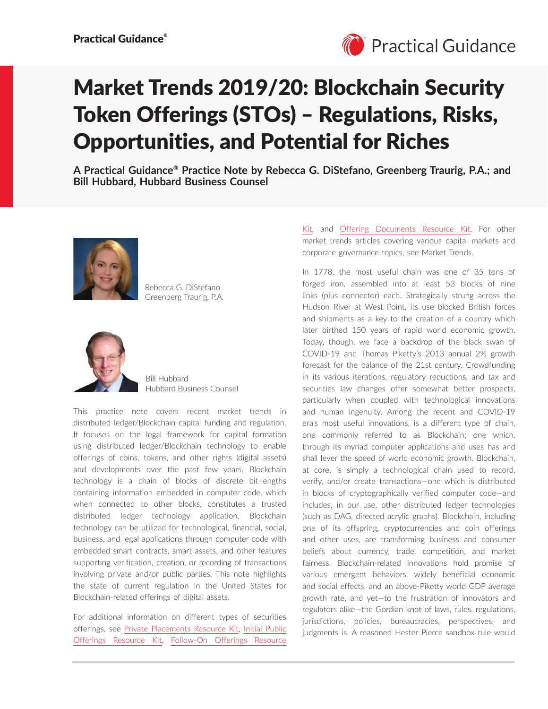

# Market Trends 2019/20: Blockchain Security Token Offerings (STOs) – Regulations, Risks, Opportunities, and Potential for Riches

**A Practical Guidance**® **Practice Note by Rebecca G. DiStefano, Greenberg Traurig, P.A.; and Bill Hubbard, Hubbard Business Counsel**



Rebecca G. DiStefano Greenberg Traurig, P.A.



Bill Hubbard Hubbard Business Counsel

This practice note covers recent market trends in distributed ledger/Blockchain capital funding and regulation. It focuses on the legal framework for capital formation using distributed ledger/Blockchain technology to enable offerings of coins, tokens, and other rights (digital assets) and developments over the past few years. Blockchain technology is a chain of blocks of discrete bit-lengths containing information embedded in computer code, which when connected to other blocks, constitutes a trusted distributed ledger technology application. Blockchain technology can be utilized for technological, financial, social, business, and legal applications through computer code with embedded smart contracts, smart assets, and other features supporting verification, creation, or recording of transactions involving private and/or public parties. This note highlights the state of current regulation in the United States for Blockchain-related offerings of digital assets.

For additional information on different types of securities offerings, see [Private Placements Resource Kit,](https://advance.lexis.com/open/document/lpadocument/?pdmfid=1000522&pddocfullpath=%2Fshared%2Fdocument%2Fanalytical-materials%2Furn%3AcontentItem%3A5MM6-CB71-K054-G29T-00000-00&pdcontentcomponentid=101206&pdteaserkey=sr0&pditab=allpods&ecomp=xtrg&earg=sr0) [Initial Public](https://advance.lexis.com/open/document/lpadocument/?pdmfid=1000522&pddocfullpath=%2Fshared%2Fdocument%2Fanalytical-materials%2Furn%3AcontentItem%3A5MM6-CB71-K054-G29X-00000-00&pdcontentcomponentid=101206&pdteaserkey=sr0&pditab=allpods&ecomp=xtrg&earg=sr0)  [Offerings Resource Kit,](https://advance.lexis.com/open/document/lpadocument/?pdmfid=1000522&pddocfullpath=%2Fshared%2Fdocument%2Fanalytical-materials%2Furn%3AcontentItem%3A5MM6-CB71-K054-G29X-00000-00&pdcontentcomponentid=101206&pdteaserkey=sr0&pditab=allpods&ecomp=xtrg&earg=sr0) [Follow-On Offerings Resource](https://advance.lexis.com/open/document/lpadocument/?pdmfid=1000522&pddocfullpath=%2Fshared%2Fdocument%2Fanalytical-materials%2Furn%3AcontentItem%3A5MKY-5RH1-JBDT-B16F-00000-00&pdcontentcomponentid=101206&pdteaserkey=sr0&pditab=allpods&ecomp=xtrg&earg=sr0)  [Kit,](https://advance.lexis.com/open/document/lpadocument/?pdmfid=1000522&pddocfullpath=%2Fshared%2Fdocument%2Fanalytical-materials%2Furn%3AcontentItem%3A5MKY-5RH1-JBDT-B16F-00000-00&pdcontentcomponentid=101206&pdteaserkey=sr0&pditab=allpods&ecomp=xtrg&earg=sr0) and [Offering Documents Resource Kit.](https://advance.lexis.com/open/document/lpadocument/?pdmfid=1000522&pddocfullpath=%2Fshared%2Fdocument%2Fanalytical-materials%2Furn%3AcontentItem%3A5X70-Y8K1-JGPY-X0XP-00000-00&pdcontentcomponentid=101206&pdteaserkey=sr0&pditab=allpods&ecomp=xtrg&earg=sr0) For other market trends articles covering various capital markets and corporate governance topics, see Market Trends.

In 1778, the most useful chain was one of 35 tons of forged iron, assembled into at least 53 blocks of nine links (plus connector) each. Strategically strung across the Hudson River at West Point, its use blocked British forces and shipments as a key to the creation of a country which later birthed 150 years of rapid world economic growth. Today, though, we face a backdrop of the black swan of COVID-19 and Thomas Piketty's 2013 annual 2% growth forecast for the balance of the 21st century. Crowdfunding in its various iterations, regulatory reductions, and tax and securities law changes offer somewhat better prospects, particularly when coupled with technological innovations and human ingenuity. Among the recent and COVID-19 era's most useful innovations, is a different type of chain, one commonly referred to as Blockchain; one which, through its myriad computer applications and uses has and shall lever the speed of world economic growth. Blockchain, at core, is simply a technological chain used to record, verify, and/or create transactions—one which is distributed in blocks of cryptographically verified computer code—and includes, in our use, other distributed ledger technologies (such as DAG, directed acrylic graphs). Blockchain, including one of its offspring, cryptocurrencies and coin offerings and other uses, are transforming business and consumer beliefs about currency, trade, competition, and market fairness. Blockchain-related innovations hold promise of various emergent behaviors, widely beneficial economic and social effects, and an above-Piketty world GDP average growth rate, and yet—to the frustration of innovators and regulators alike—the Gordian knot of laws, rules, regulations, jurisdictions, policies, bureaucracies, perspectives, and judgments is. A reasoned Hester Pierce sandbox rule would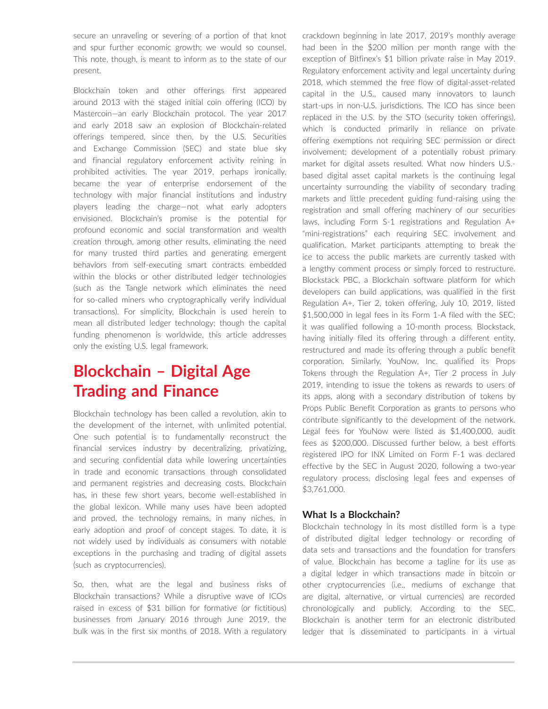secure an unraveling or severing of a portion of that knot and spur further economic growth; we would so counsel. This note, though, is meant to inform as to the state of our present.

Blockchain token and other offerings first appeared around 2013 with the staged initial coin offering (ICO) by Mastercoin—an early Blockchain protocol. The year 2017 and early 2018 saw an explosion of Blockchain-related offerings tempered, since then, by the U.S. Securities and Exchange Commission (SEC) and state blue sky and financial regulatory enforcement activity reining in prohibited activities. The year 2019, perhaps ironically, became the year of enterprise endorsement of the technology with major financial institutions and industry players leading the charge—not what early adopters envisioned. Blockchain's promise is the potential for profound economic and social transformation and wealth creation through, among other results, eliminating the need for many trusted third parties and generating emergent behaviors from self-executing smart contracts embedded within the blocks or other distributed ledger technologies (such as the Tangle network which eliminates the need for so-called miners who cryptographically verify individual transactions). For simplicity, Blockchain is used herein to mean all distributed ledger technology; though the capital funding phenomenon is worldwide, this article addresses only the existing U.S. legal framework.

# **Blockchain – Digital Age Trading and Finance**

Blockchain technology has been called a revolution, akin to the development of the internet, with unlimited potential. One such potential is to fundamentally reconstruct the financial services industry by decentralizing, privatizing, and securing confidential data while lowering uncertainties in trade and economic transactions through consolidated and permanent registries and decreasing costs. Blockchain has, in these few short years, become well-established in the global lexicon. While many uses have been adopted and proved, the technology remains, in many niches, in early adoption and proof of concept stages. To date, it is not widely used by individuals as consumers with notable exceptions in the purchasing and trading of digital assets (such as cryptocurrencies).

So, then, what are the legal and business risks of Blockchain transactions? While a disruptive wave of ICOs raised in excess of \$31 billion for formative (or fictitious) businesses from January 2016 through June 2019, the bulk was in the first six months of 2018. With a regulatory crackdown beginning in late 2017, 2019's monthly average had been in the \$200 million per month range with the exception of Bitfinex's \$1 billion private raise in May 2019. Regulatory enforcement activity and legal uncertainty during 2018, which stemmed the free flow of digital-asset-related capital in the U.S., caused many innovators to launch start-ups in non-U.S. jurisdictions. The ICO has since been replaced in the U.S. by the STO (security token offerings), which is conducted primarily in reliance on private offering exemptions not requiring SEC permission or direct involvement; development of a potentially robust primary market for digital assets resulted. What now hinders U.S. based digital asset capital markets is the continuing legal uncertainty surrounding the viability of secondary trading markets and little precedent guiding fund-raising using the registration and small offering machinery of our securities laws, including Form S-1 registrations and Regulation A+ "mini-registrations" each requiring SEC involvement and qualification. Market participants attempting to break the ice to access the public markets are currently tasked with a lengthy comment process or simply forced to restructure. Blockstack PBC, a Blockchain software platform for which developers can build applications, was qualified in the first Regulation A+, Tier 2, token offering, July 10, 2019, listed \$1,500,000 in legal fees in its Form 1-A filed with the SEC; it was qualified following a 10-month process. Blockstack, having initially filed its offering through a different entity, restructured and made its offering through a public benefit corporation. Similarly, YouNow, Inc. qualified its Props Tokens through the Regulation A+, Tier 2 process in July 2019, intending to issue the tokens as rewards to users of its apps, along with a secondary distribution of tokens by Props Public Benefit Corporation as grants to persons who contribute significantly to the development of the network. Legal fees for YouNow were listed as \$1,400,000, audit fees as \$200,000. Discussed further below, a best efforts registered IPO for INX Limited on Form F-1 was declared effective by the SEC in August 2020, following a two-year regulatory process, disclosing legal fees and expenses of \$3,761,000.

#### **What Is a Blockchain?**

Blockchain technology in its most distilled form is a type of distributed digital ledger technology or recording of data sets and transactions and the foundation for transfers of value. Blockchain has become a tagline for its use as a digital ledger in which transactions made in bitcoin or other cryptocurrencies (i.e., mediums of exchange that are digital, alternative, or virtual currencies) are recorded chronologically and publicly. According to the SEC, Blockchain is another term for an electronic distributed ledger that is disseminated to participants in a virtual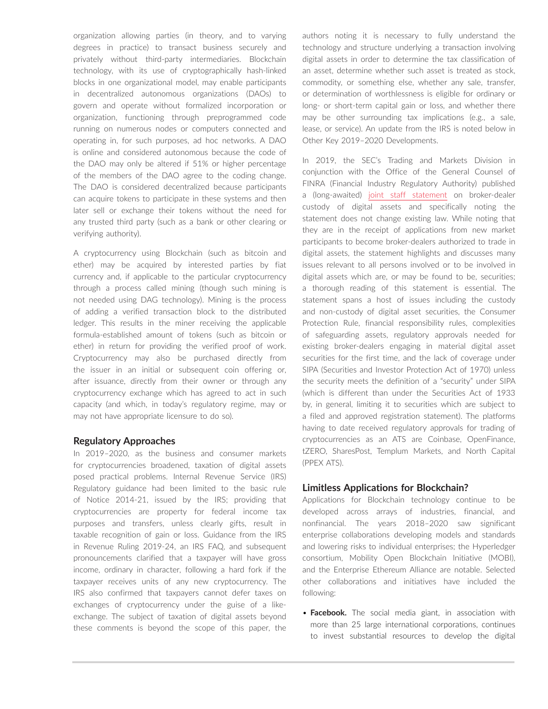organization allowing parties (in theory, and to varying degrees in practice) to transact business securely and privately without third-party intermediaries. Blockchain technology, with its use of cryptographically hash-linked blocks in one organizational model, may enable participants in decentralized autonomous organizations (DAOs) to govern and operate without formalized incorporation or organization, functioning through preprogrammed code running on numerous nodes or computers connected and operating in, for such purposes, ad hoc networks. A DAO is online and considered autonomous because the code of the DAO may only be altered if 51% or higher percentage of the members of the DAO agree to the coding change. The DAO is considered decentralized because participants can acquire tokens to participate in these systems and then later sell or exchange their tokens without the need for any trusted third party (such as a bank or other clearing or verifying authority).

A cryptocurrency using Blockchain (such as bitcoin and ether) may be acquired by interested parties by fiat currency and, if applicable to the particular cryptocurrency through a process called mining (though such mining is not needed using DAG technology). Mining is the process of adding a verified transaction block to the distributed ledger. This results in the miner receiving the applicable formula-established amount of tokens (such as bitcoin or ether) in return for providing the verified proof of work. Cryptocurrency may also be purchased directly from the issuer in an initial or subsequent coin offering or, after issuance, directly from their owner or through any cryptocurrency exchange which has agreed to act in such capacity (and which, in today's regulatory regime, may or may not have appropriate licensure to do so).

#### **Regulatory Approaches**

In 2019–2020, as the business and consumer markets for cryptocurrencies broadened, taxation of digital assets posed practical problems. Internal Revenue Service (IRS) Regulatory guidance had been limited to the basic rule of Notice 2014-21, issued by the IRS; providing that cryptocurrencies are property for federal income tax purposes and transfers, unless clearly gifts, result in taxable recognition of gain or loss. Guidance from the IRS in Revenue Ruling 2019-24, an IRS FAQ, and subsequent pronouncements clarified that a taxpayer will have gross income, ordinary in character, following a hard fork if the taxpayer receives units of any new cryptocurrency. The IRS also confirmed that taxpayers cannot defer taxes on exchanges of cryptocurrency under the guise of a likeexchange. The subject of taxation of digital assets beyond these comments is beyond the scope of this paper, the authors noting it is necessary to fully understand the technology and structure underlying a transaction involving digital assets in order to determine the tax classification of an asset, determine whether such asset is treated as stock, commodity, or something else, whether any sale, transfer, or determination of worthlessness is eligible for ordinary or long- or short-term capital gain or loss, and whether there may be other surrounding tax implications (e.g., a sale, lease, or service). An update from the IRS is noted below in Other Key 2019–2020 Developments.

In 2019, the SEC's Trading and Markets Division in conjunction with the Office of the General Counsel of FINRA (Financial Industry Regulatory Authority) published a (long-awaited) [joint staff statement](https://www.sec.gov/news/public-statement/joint-staff-statement-broker-dealer-custody-digital-asset-securities) on broker-dealer custody of digital assets and specifically noting the statement does not change existing law. While noting that they are in the receipt of applications from new market participants to become broker-dealers authorized to trade in digital assets, the statement highlights and discusses many issues relevant to all persons involved or to be involved in digital assets which are, or may be found to be, securities; a thorough reading of this statement is essential. The statement spans a host of issues including the custody and non-custody of digital asset securities, the Consumer Protection Rule, financial responsibility rules, complexities of safeguarding assets, regulatory approvals needed for existing broker-dealers engaging in material digital asset securities for the first time, and the lack of coverage under SIPA (Securities and Investor Protection Act of 1970) unless the security meets the definition of a "security" under SIPA (which is different than under the Securities Act of 1933 by, in general, limiting it to securities which are subject to a filed and approved registration statement). The platforms having to date received regulatory approvals for trading of cryptocurrencies as an ATS are Coinbase, OpenFinance, tZERO, SharesPost, Templum Markets, and North Capital (PPEX ATS).

#### **Limitless Applications for Blockchain?**

Applications for Blockchain technology continue to be developed across arrays of industries, financial, and nonfinancial. The years 2018–2020 saw significant enterprise collaborations developing models and standards and lowering risks to individual enterprises; the Hyperledger consortium, Mobility Open Blockchain Initiative (MOBI), and the Enterprise Ethereum Alliance are notable. Selected other collaborations and initiatives have included the following:

• **Facebook.** The social media giant, in association with more than 25 large international corporations, continues to invest substantial resources to develop the digital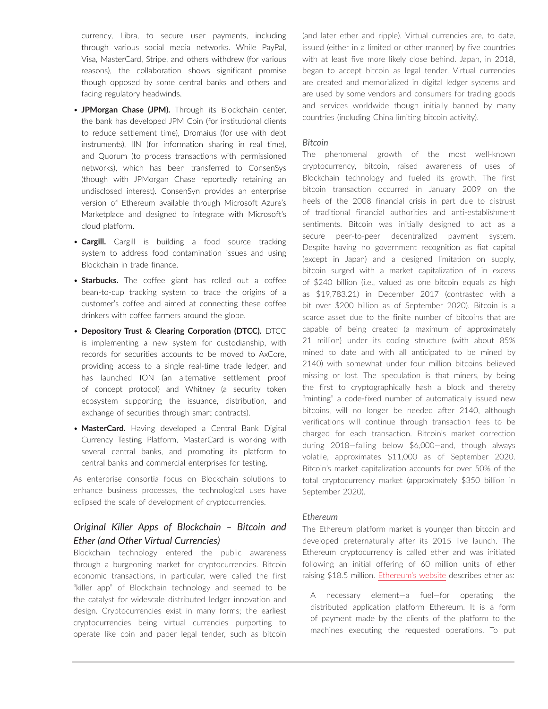currency, Libra, to secure user payments, including through various social media networks. While PayPal, Visa, MasterCard, Stripe, and others withdrew (for various reasons), the collaboration shows significant promise though opposed by some central banks and others and facing regulatory headwinds.

- **JPMorgan Chase (JPM).** Through its Blockchain center, the bank has developed JPM Coin (for institutional clients to reduce settlement time), Dromaius (for use with debt instruments), IIN (for information sharing in real time), and Quorum (to process transactions with permissioned networks), which has been transferred to ConsenSys (though with JPMorgan Chase reportedly retaining an undisclosed interest). ConsenSyn provides an enterprise version of Ethereum available through Microsoft Azure's Marketplace and designed to integrate with Microsoft's cloud platform.
- **Cargill.** Cargill is building a food source tracking system to address food contamination issues and using Blockchain in trade finance.
- **Starbucks.** The coffee giant has rolled out a coffee bean-to-cup tracking system to trace the origins of a customer's coffee and aimed at connecting these coffee drinkers with coffee farmers around the globe.
- **Depository Trust & Clearing Corporation (DTCC).** DTCC is implementing a new system for custodianship, with records for securities accounts to be moved to AxCore, providing access to a single real-time trade ledger, and has launched ION (an alternative settlement proof of concept protocol) and Whitney (a security token ecosystem supporting the issuance, distribution, and exchange of securities through smart contracts).
- **MasterCard.** Having developed a Central Bank Digital Currency Testing Platform, MasterCard is working with several central banks, and promoting its platform to central banks and commercial enterprises for testing.

As enterprise consortia focus on Blockchain solutions to enhance business processes, the technological uses have eclipsed the scale of development of cryptocurrencies.

#### *Original Killer Apps of Blockchain – Bitcoin and Ether (and Other Virtual Currencies)*

Blockchain technology entered the public awareness through a burgeoning market for cryptocurrencies. Bitcoin economic transactions, in particular, were called the first "killer app" of Blockchain technology and seemed to be the catalyst for widescale distributed ledger innovation and design. Cryptocurrencies exist in many forms; the earliest cryptocurrencies being virtual currencies purporting to operate like coin and paper legal tender, such as bitcoin (and later ether and ripple). Virtual currencies are, to date, issued (either in a limited or other manner) by five countries with at least five more likely close behind. Japan, in 2018, began to accept bitcoin as legal tender. Virtual currencies are created and memorialized in digital ledger systems and are used by some vendors and consumers for trading goods and services worldwide though initially banned by many countries (including China limiting bitcoin activity).

#### *Bitcoin*

The phenomenal growth of the most well-known cryptocurrency, bitcoin, raised awareness of uses of Blockchain technology and fueled its growth. The first bitcoin transaction occurred in January 2009 on the heels of the 2008 financial crisis in part due to distrust of traditional financial authorities and anti-establishment sentiments. Bitcoin was initially designed to act as a secure peer-to-peer decentralized payment system. Despite having no government recognition as fiat capital (except in Japan) and a designed limitation on supply, bitcoin surged with a market capitalization of in excess of \$240 billion (i.e., valued as one bitcoin equals as high as \$19,783.21) in December 2017 (contrasted with a bit over \$200 billion as of September 2020). Bitcoin is a scarce asset due to the finite number of bitcoins that are capable of being created (a maximum of approximately 21 million) under its coding structure (with about 85% mined to date and with all anticipated to be mined by 2140) with somewhat under four million bitcoins believed missing or lost. The speculation is that miners, by being the first to cryptographically hash a block and thereby "minting" a code-fixed number of automatically issued new bitcoins, will no longer be needed after 2140, although verifications will continue through transaction fees to be charged for each transaction. Bitcoin's market correction during 2018—falling below \$6,000—and, though always volatile, approximates \$11,000 as of September 2020. Bitcoin's market capitalization accounts for over 50% of the total cryptocurrency market (approximately \$350 billion in September 2020).

#### *Ethereum*

The Ethereum platform market is younger than bitcoin and developed preternaturally after its 2015 live launch. The Ethereum cryptocurrency is called ether and was initiated following an initial offering of 60 million units of ether raising \$18.5 million. [Ethereum's website](https://www.ethereum.org/ether) describes ether as:

A necessary element—a fuel—for operating the distributed application platform Ethereum. It is a form of payment made by the clients of the platform to the machines executing the requested operations. To put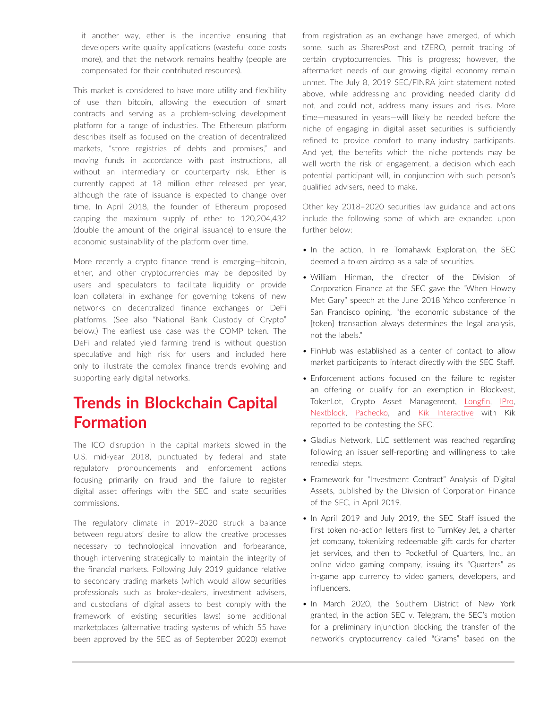it another way, ether is the incentive ensuring that developers write quality applications (wasteful code costs more), and that the network remains healthy (people are compensated for their contributed resources).

This market is considered to have more utility and flexibility of use than bitcoin, allowing the execution of smart contracts and serving as a problem-solving development platform for a range of industries. The Ethereum platform describes itself as focused on the creation of decentralized markets, "store registries of debts and promises," and moving funds in accordance with past instructions, all without an intermediary or counterparty risk. Ether is currently capped at 18 million ether released per year, although the rate of issuance is expected to change over time. In April 2018, the founder of Ethereum proposed capping the maximum supply of ether to 120,204,432 (double the amount of the original issuance) to ensure the economic sustainability of the platform over time.

More recently a crypto finance trend is emerging—bitcoin, ether, and other cryptocurrencies may be deposited by users and speculators to facilitate liquidity or provide loan collateral in exchange for governing tokens of new networks on decentralized finance exchanges or DeFi platforms. (See also "National Bank Custody of Crypto" below.) The earliest use case was the COMP token. The DeFi and related yield farming trend is without question speculative and high risk for users and included here only to illustrate the complex finance trends evolving and supporting early digital networks.

# **Trends in Blockchain Capital Formation**

The ICO disruption in the capital markets slowed in the U.S. mid-year 2018, punctuated by federal and state regulatory pronouncements and enforcement actions focusing primarily on fraud and the failure to register digital asset offerings with the SEC and state securities commissions.

The regulatory climate in 2019–2020 struck a balance between regulators' desire to allow the creative processes necessary to technological innovation and forbearance, though intervening strategically to maintain the integrity of the financial markets. Following July 2019 guidance relative to secondary trading markets (which would allow securities professionals such as broker-dealers, investment advisers, and custodians of digital assets to best comply with the framework of existing securities laws) some additional marketplaces (alternative trading systems of which 55 have been approved by the SEC as of September 2020) exempt from registration as an exchange have emerged, of which some, such as SharesPost and tZERO, permit trading of certain cryptocurrencies. This is progress; however, the aftermarket needs of our growing digital economy remain unmet. The July 8, 2019 SEC/FINRA joint statement noted above, while addressing and providing needed clarity did not, and could not, address many issues and risks. More time—measured in years—will likely be needed before the niche of engaging in digital asset securities is sufficiently refined to provide comfort to many industry participants. And yet, the benefits which the niche portends may be well worth the risk of engagement, a decision which each potential participant will, in conjunction with such person's qualified advisers, need to make.

Other key 2018–2020 securities law guidance and actions include the following some of which are expanded upon further below:

- In the action, In re Tomahawk Exploration, the SEC deemed a token airdrop as a sale of securities.
- William Hinman, the director of the Division of Corporation Finance at the SEC gave the "When Howey Met Gary" speech at the June 2018 Yahoo conference in San Francisco opining, "the economic substance of the [token] transaction always determines the legal analysis, not the labels."
- FinHub was established as a center of contact to allow market participants to interact directly with the SEC Staff.
- Enforcement actions focused on the failure to register an offering or qualify for an exemption in Blockvest, TokenLot, Crypto Asset Management, [Longfin,](https://www.sec.gov/litigation/complaints/2019/comp24492.pdf) [IPro](https://www.sec.gov/litigation/complaints/2019/comp24478.pdf), [Nextblock](https://www.sec.gov/litigation/admin/2019/33-10638.pdf), [Pachecko,](https://www.sec.gov/litigation/complaints/2019/comp24478.pdf) and [Kik Interactive](https://www.sec.gov/litigation/complaints/2019/comp-pr2019-87.pdf)) with Kik reported to be contesting the SEC.
- Gladius Network, LLC settlement was reached regarding following an issuer self-reporting and willingness to take remedial steps.
- Framework for "Investment Contract" Analysis of Digital Assets, published by the Division of Corporation Finance of the SEC, in April 2019.
- In April 2019 and July 2019, the SEC Staff issued the first token no-action letters first to TurnKey Jet, a charter jet company, tokenizing redeemable gift cards for charter jet services, and then to Pocketful of Quarters, Inc., an online video gaming company, issuing its "Quarters" as in-game app currency to video gamers, developers, and influencers.
- In March 2020, the Southern District of New York granted, in the action SEC v. Telegram, the SEC's motion for a preliminary injunction blocking the transfer of the network's cryptocurrency called "Grams" based on the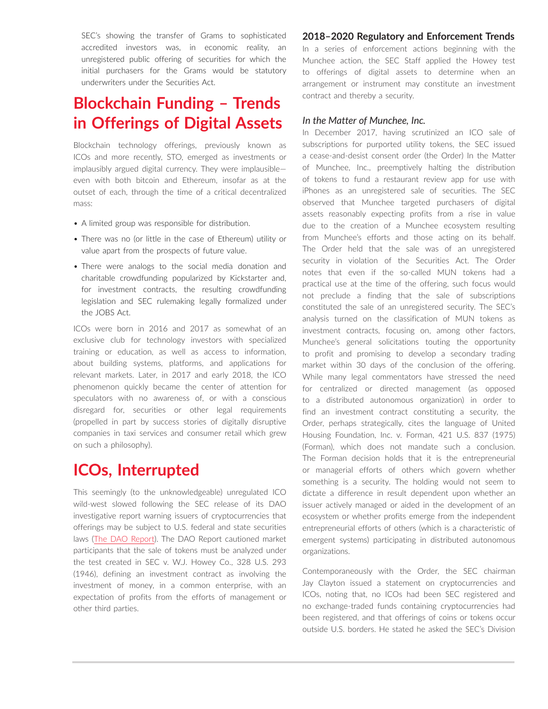SEC's showing the transfer of Grams to sophisticated accredited investors was, in economic reality, an unregistered public offering of securities for which the initial purchasers for the Grams would be statutory underwriters under the Securities Act.

# **Blockchain Funding – Trends in Offerings of Digital Assets**

Blockchain technology offerings, previously known as ICOs and more recently, STO, emerged as investments or implausibly argued digital currency. They were implausible even with both bitcoin and Ethereum, insofar as at the outset of each, through the time of a critical decentralized mass:

- A limited group was responsible for distribution.
- There was no (or little in the case of Ethereum) utility or value apart from the prospects of future value.
- There were analogs to the social media donation and charitable crowdfunding popularized by Kickstarter and, for investment contracts, the resulting crowdfunding legislation and SEC rulemaking legally formalized under the JOBS Act.

ICOs were born in 2016 and 2017 as somewhat of an exclusive club for technology investors with specialized training or education, as well as access to information, about building systems, platforms, and applications for relevant markets. Later, in 2017 and early 2018, the ICO phenomenon quickly became the center of attention for speculators with no awareness of, or with a conscious disregard for, securities or other legal requirements (propelled in part by success stories of digitally disruptive companies in taxi services and consumer retail which grew on such a philosophy).

### **ICOs, Interrupted**

This seemingly (to the unknowledgeable) unregulated ICO wild-west slowed following the SEC release of its DAO investigative report warning issuers of cryptocurrencies that offerings may be subject to U.S. federal and state securities laws ([The DAO Report\)](https://www.sec.gov/litigation/investreport/34-81207.pdf). The DAO Report cautioned market participants that the sale of tokens must be analyzed under the test created in SEC v. W.J. Howey Co., 328 U.S. 293 (1946), defining an investment contract as involving the investment of money, in a common enterprise, with an expectation of profits from the efforts of management or other third parties.

#### **2018–2020 Regulatory and Enforcement Trends**

In a series of enforcement actions beginning with the Munchee action, the SEC Staff applied the Howey test to offerings of digital assets to determine when an arrangement or instrument may constitute an investment contract and thereby a security.

#### *In the Matter of Munchee, Inc.*

In December 2017, having scrutinized an ICO sale of subscriptions for purported utility tokens, the SEC issued a cease-and-desist consent order (the Order) In the Matter of Munchee, Inc., preemptively halting the distribution of tokens to fund a restaurant review app for use with iPhones as an unregistered sale of securities. The SEC observed that Munchee targeted purchasers of digital assets reasonably expecting profits from a rise in value due to the creation of a Munchee ecosystem resulting from Munchee's efforts and those acting on its behalf. The Order held that the sale was of an unregistered security in violation of the Securities Act. The Order notes that even if the so-called MUN tokens had a practical use at the time of the offering, such focus would not preclude a finding that the sale of subscriptions constituted the sale of an unregistered security. The SEC's analysis turned on the classification of MUN tokens as investment contracts, focusing on, among other factors, Munchee's general solicitations touting the opportunity to profit and promising to develop a secondary trading market within 30 days of the conclusion of the offering. While many legal commentators have stressed the need for centralized or directed management (as opposed to a distributed autonomous organization) in order to find an investment contract constituting a security, the Order, perhaps strategically, cites the language of United Housing Foundation, Inc. v. Forman, 421 U.S. 837 (1975) (Forman), which does not mandate such a conclusion. The Forman decision holds that it is the entrepreneurial or managerial efforts of others which govern whether something is a security. The holding would not seem to dictate a difference in result dependent upon whether an issuer actively managed or aided in the development of an ecosystem or whether profits emerge from the independent entrepreneurial efforts of others (which is a characteristic of emergent systems) participating in distributed autonomous organizations.

Contemporaneously with the Order, the SEC chairman Jay Clayton issued a statement on cryptocurrencies and ICOs, noting that, no ICOs had been SEC registered and no exchange-traded funds containing cryptocurrencies had been registered, and that offerings of coins or tokens occur outside U.S. borders. He stated he asked the SEC's Division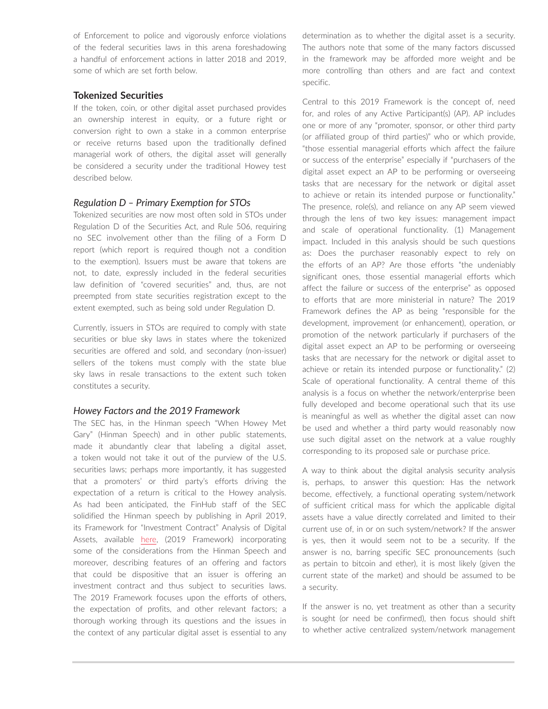of Enforcement to police and vigorously enforce violations of the federal securities laws in this arena foreshadowing a handful of enforcement actions in latter 2018 and 2019, some of which are set forth below.

#### **Tokenized Securities**

If the token, coin, or other digital asset purchased provides an ownership interest in equity, or a future right or conversion right to own a stake in a common enterprise or receive returns based upon the traditionally defined managerial work of others, the digital asset will generally be considered a security under the traditional Howey test described below.

#### *Regulation D – Primary Exemption for STOs*

Tokenized securities are now most often sold in STOs under Regulation D of the Securities Act, and Rule 506, requiring no SEC involvement other than the filing of a Form D report (which report is required though not a condition to the exemption). Issuers must be aware that tokens are not, to date, expressly included in the federal securities law definition of "covered securities" and, thus, are not preempted from state securities registration except to the extent exempted, such as being sold under Regulation D.

Currently, issuers in STOs are required to comply with state securities or blue sky laws in states where the tokenized securities are offered and sold, and secondary (non-issuer) sellers of the tokens must comply with the state blue sky laws in resale transactions to the extent such token constitutes a security.

#### *Howey Factors and the 2019 Framework*

The SEC has, in the Hinman speech "When Howey Met Gary" (Hinman Speech) and in other public statements, made it abundantly clear that labeling a digital asset, a token would not take it out of the purview of the U.S. securities laws; perhaps more importantly, it has suggested that a promoters' or third party's efforts driving the expectation of a return is critical to the Howey analysis. As had been anticipated, the FinHub staff of the SEC solidified the Hinman speech by publishing in April 2019, its Framework for "Investment Contract" Analysis of Digital Assets, available [here,](https://www.sec.gov/corpfin/framework-investment-contract-analysis-digital-assets) (2019 Framework) incorporating some of the considerations from the Hinman Speech and moreover, describing features of an offering and factors that could be dispositive that an issuer is offering an investment contract and thus subject to securities laws. The 2019 Framework focuses upon the efforts of others, the expectation of profits, and other relevant factors; a thorough working through its questions and the issues in the context of any particular digital asset is essential to any determination as to whether the digital asset is a security. The authors note that some of the many factors discussed in the framework may be afforded more weight and be more controlling than others and are fact and context specific.

Central to this 2019 Framework is the concept of, need for, and roles of any Active Participant(s) (AP). AP includes one or more of any "promoter, sponsor, or other third party (or affiliated group of third parties)" who or which provide, "those essential managerial efforts which affect the failure or success of the enterprise" especially if "purchasers of the digital asset expect an AP to be performing or overseeing tasks that are necessary for the network or digital asset to achieve or retain its intended purpose or functionality." The presence, role(s), and reliance on any AP seem viewed through the lens of two key issues: management impact and scale of operational functionality. (1) Management impact. Included in this analysis should be such questions as: Does the purchaser reasonably expect to rely on the efforts of an AP? Are those efforts "the undeniably significant ones, those essential managerial efforts which affect the failure or success of the enterprise" as opposed to efforts that are more ministerial in nature? The 2019 Framework defines the AP as being "responsible for the development, improvement (or enhancement), operation, or promotion of the network particularly if purchasers of the digital asset expect an AP to be performing or overseeing tasks that are necessary for the network or digital asset to achieve or retain its intended purpose or functionality." (2) Scale of operational functionality. A central theme of this analysis is a focus on whether the network/enterprise been fully developed and become operational such that its use is meaningful as well as whether the digital asset can now be used and whether a third party would reasonably now use such digital asset on the network at a value roughly corresponding to its proposed sale or purchase price.

A way to think about the digital analysis security analysis is, perhaps, to answer this question: Has the network become, effectively, a functional operating system/network of sufficient critical mass for which the applicable digital assets have a value directly correlated and limited to their current use of, in or on such system/network? If the answer is yes, then it would seem not to be a security. If the answer is no, barring specific SEC pronouncements (such as pertain to bitcoin and ether), it is most likely (given the current state of the market) and should be assumed to be a security.

If the answer is no, yet treatment as other than a security is sought (or need be confirmed), then focus should shift to whether active centralized system/network management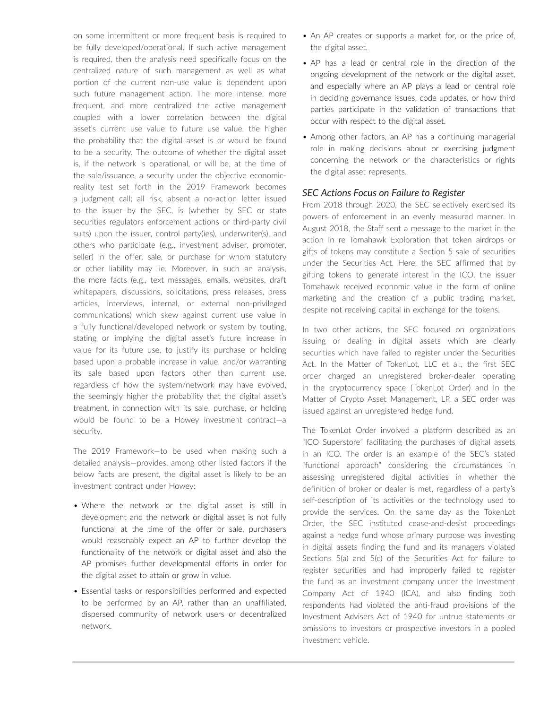on some intermittent or more frequent basis is required to be fully developed/operational. If such active management is required, then the analysis need specifically focus on the centralized nature of such management as well as what portion of the current non-use value is dependent upon such future management action. The more intense, more frequent, and more centralized the active management coupled with a lower correlation between the digital asset's current use value to future use value, the higher the probability that the digital asset is or would be found to be a security. The outcome of whether the digital asset is, if the network is operational, or will be, at the time of the sale/issuance, a security under the objective economicreality test set forth in the 2019 Framework becomes a judgment call; all risk, absent a no-action letter issued to the issuer by the SEC, is (whether by SEC or state securities regulators enforcement actions or third-party civil suits) upon the issuer, control party(ies), underwriter(s), and others who participate (e.g., investment adviser, promoter, seller) in the offer, sale, or purchase for whom statutory or other liability may lie. Moreover, in such an analysis, the more facts (e.g., text messages, emails, websites, draft whitepapers, discussions, solicitations, press releases, press articles, interviews, internal, or external non-privileged communications) which skew against current use value in a fully functional/developed network or system by touting, stating or implying the digital asset's future increase in value for its future use, to justify its purchase or holding based upon a probable increase in value, and/or warranting its sale based upon factors other than current use, regardless of how the system/network may have evolved, the seemingly higher the probability that the digital asset's treatment, in connection with its sale, purchase, or holding would be found to be a Howey investment contract—a security.

The 2019 Framework—to be used when making such a detailed analysis—provides, among other listed factors if the below facts are present, the digital asset is likely to be an investment contract under Howey:

- Where the network or the digital asset is still in development and the network or digital asset is not fully functional at the time of the offer or sale, purchasers would reasonably expect an AP to further develop the functionality of the network or digital asset and also the AP promises further developmental efforts in order for the digital asset to attain or grow in value.
- Essential tasks or responsibilities performed and expected to be performed by an AP, rather than an unaffiliated, dispersed community of network users or decentralized network.
- An AP creates or supports a market for, or the price of, the digital asset.
- AP has a lead or central role in the direction of the ongoing development of the network or the digital asset, and especially where an AP plays a lead or central role in deciding governance issues, code updates, or how third parties participate in the validation of transactions that occur with respect to the digital asset.
- Among other factors, an AP has a continuing managerial role in making decisions about or exercising judgment concerning the network or the characteristics or rights the digital asset represents.

#### *SEC Actions Focus on Failure to Register*

From 2018 through 2020, the SEC selectively exercised its powers of enforcement in an evenly measured manner. In August 2018, the Staff sent a message to the market in the action In re Tomahawk Exploration that token airdrops or gifts of tokens may constitute a Section 5 sale of securities under the Securities Act. Here, the SEC affirmed that by gifting tokens to generate interest in the ICO, the issuer Tomahawk received economic value in the form of online marketing and the creation of a public trading market, despite not receiving capital in exchange for the tokens.

In two other actions, the SEC focused on organizations issuing or dealing in digital assets which are clearly securities which have failed to register under the Securities Act. In the Matter of TokenLot, LLC et al., the first SEC order charged an unregistered broker-dealer operating in the cryptocurrency space (TokenLot Order) and In the Matter of Crypto Asset Management, LP, a SEC order was issued against an unregistered hedge fund.

The TokenLot Order involved a platform described as an "ICO Superstore" facilitating the purchases of digital assets in an ICO. The order is an example of the SEC's stated "functional approach" considering the circumstances in assessing unregistered digital activities in whether the definition of broker or dealer is met, regardless of a party's self-description of its activities or the technology used to provide the services. On the same day as the TokenLot Order, the SEC instituted cease-and-desist proceedings against a hedge fund whose primary purpose was investing in digital assets finding the fund and its managers violated Sections 5(a) and 5(c) of the Securities Act for failure to register securities and had improperly failed to register the fund as an investment company under the Investment Company Act of 1940 (ICA), and also finding both respondents had violated the anti-fraud provisions of the Investment Advisers Act of 1940 for untrue statements or omissions to investors or prospective investors in a pooled investment vehicle.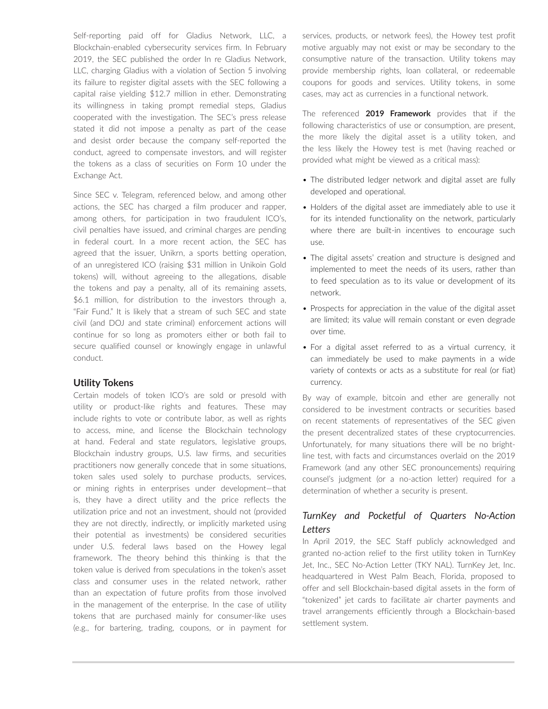Self-reporting paid off for Gladius Network, LLC, a Blockchain-enabled cybersecurity services firm. In February 2019, the SEC published the order In re Gladius Network, LLC, charging Gladius with a violation of Section 5 involving its failure to register digital assets with the SEC following a capital raise yielding \$12.7 million in ether. Demonstrating its willingness in taking prompt remedial steps, Gladius cooperated with the investigation. The SEC's press release stated it did not impose a penalty as part of the cease and desist order because the company self-reported the conduct, agreed to compensate investors, and will register the tokens as a class of securities on Form 10 under the Exchange Act.

Since SEC v. Telegram, referenced below, and among other actions, the SEC has charged a film producer and rapper, among others, for participation in two fraudulent ICO's, civil penalties have issued, and criminal charges are pending in federal court. In a more recent action, the SEC has agreed that the issuer, Unikrn, a sports betting operation, of an unregistered ICO (raising \$31 million in Unikoin Gold tokens) will, without agreeing to the allegations, disable the tokens and pay a penalty, all of its remaining assets, \$6.1 million, for distribution to the investors through a, "Fair Fund." It is likely that a stream of such SEC and state civil (and DOJ and state criminal) enforcement actions will continue for so long as promoters either or both fail to secure qualified counsel or knowingly engage in unlawful conduct.

#### **Utility Tokens**

Certain models of token ICO's are sold or presold with utility or product-like rights and features. These may include rights to vote or contribute labor, as well as rights to access, mine, and license the Blockchain technology at hand. Federal and state regulators, legislative groups, Blockchain industry groups, U.S. law firms, and securities practitioners now generally concede that in some situations, token sales used solely to purchase products, services, or mining rights in enterprises under development—that is, they have a direct utility and the price reflects the utilization price and not an investment, should not (provided they are not directly, indirectly, or implicitly marketed using their potential as investments) be considered securities under U.S. federal laws based on the Howey legal framework. The theory behind this thinking is that the token value is derived from speculations in the token's asset class and consumer uses in the related network, rather than an expectation of future profits from those involved in the management of the enterprise. In the case of utility tokens that are purchased mainly for consumer-like uses (e.g., for bartering, trading, coupons, or in payment for services, products, or network fees), the Howey test profit motive arguably may not exist or may be secondary to the consumptive nature of the transaction. Utility tokens may provide membership rights, loan collateral, or redeemable coupons for goods and services. Utility tokens, in some cases, may act as currencies in a functional network.

The referenced **2019 Framework** provides that if the following characteristics of use or consumption, are present, the more likely the digital asset is a utility token, and the less likely the Howey test is met (having reached or provided what might be viewed as a critical mass):

- The distributed ledger network and digital asset are fully developed and operational.
- Holders of the digital asset are immediately able to use it for its intended functionality on the network, particularly where there are built-in incentives to encourage such use.
- The digital assets' creation and structure is designed and implemented to meet the needs of its users, rather than to feed speculation as to its value or development of its network.
- Prospects for appreciation in the value of the digital asset are limited; its value will remain constant or even degrade over time.
- For a digital asset referred to as a virtual currency, it can immediately be used to make payments in a wide variety of contexts or acts as a substitute for real (or fiat) currency.

By way of example, bitcoin and ether are generally not considered to be investment contracts or securities based on recent statements of representatives of the SEC given the present decentralized states of these cryptocurrencies. Unfortunately, for many situations there will be no brightline test, with facts and circumstances overlaid on the 2019 Framework (and any other SEC pronouncements) requiring counsel's judgment (or a no-action letter) required for a determination of whether a security is present.

#### *TurnKey and Pocketful of Quarters No-Action Letters*

In April 2019, the SEC Staff publicly acknowledged and granted no-action relief to the first utility token in TurnKey Jet, Inc., SEC No-Action Letter (TKY NAL). TurnKey Jet, Inc. headquartered in West Palm Beach, Florida, proposed to offer and sell Blockchain-based digital assets in the form of "tokenized" jet cards to facilitate air charter payments and travel arrangements efficiently through a Blockchain-based settlement system.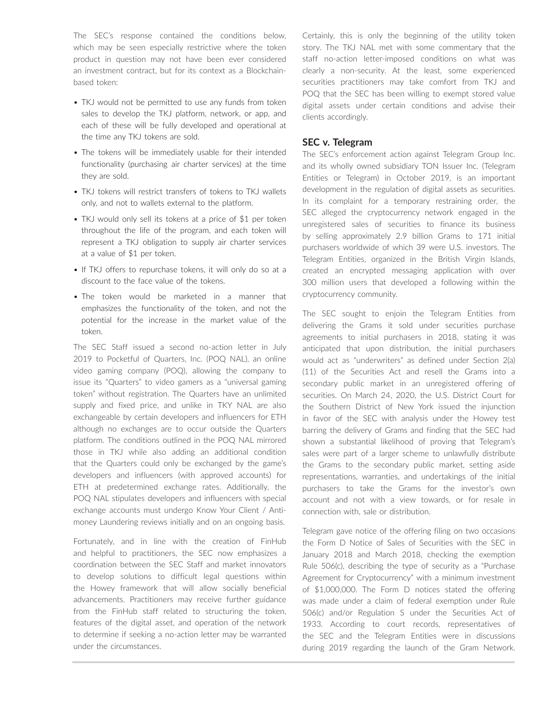The SEC's response contained the conditions below, which may be seen especially restrictive where the token product in question may not have been ever considered an investment contract, but for its context as a Blockchainbased token:

- TKJ would not be permitted to use any funds from token sales to develop the TKJ platform, network, or app, and each of these will be fully developed and operational at the time any TKJ tokens are sold.
- The tokens will be immediately usable for their intended functionality (purchasing air charter services) at the time they are sold.
- TKJ tokens will restrict transfers of tokens to TKJ wallets only, and not to wallets external to the platform.
- TKJ would only sell its tokens at a price of \$1 per token throughout the life of the program, and each token will represent a TKJ obligation to supply air charter services at a value of \$1 per token.
- If TKJ offers to repurchase tokens, it will only do so at a discount to the face value of the tokens.
- The token would be marketed in a manner that emphasizes the functionality of the token, and not the potential for the increase in the market value of the token.

The SEC Staff issued a second no-action letter in July 2019 to Pocketful of Quarters, Inc. (POQ NAL), an online video gaming company (POQ), allowing the company to issue its "Quarters" to video gamers as a "universal gaming token" without registration. The Quarters have an unlimited supply and fixed price, and unlike in TKY NAL are also exchangeable by certain developers and influencers for ETH although no exchanges are to occur outside the Quarters platform. The conditions outlined in the POQ NAL mirrored those in TKJ while also adding an additional condition that the Quarters could only be exchanged by the game's developers and influencers (with approved accounts) for ETH at predetermined exchange rates. Additionally, the POQ NAL stipulates developers and influencers with special exchange accounts must undergo Know Your Client / Antimoney Laundering reviews initially and on an ongoing basis.

Fortunately, and in line with the creation of FinHub and helpful to practitioners, the SEC now emphasizes a coordination between the SEC Staff and market innovators to develop solutions to difficult legal questions within the Howey framework that will allow socially beneficial advancements. Practitioners may receive further guidance from the FinHub staff related to structuring the token, features of the digital asset, and operation of the network to determine if seeking a no-action letter may be warranted under the circumstances.

Certainly, this is only the beginning of the utility token story. The TKJ NAL met with some commentary that the staff no-action letter-imposed conditions on what was clearly a non-security. At the least, some experienced securities practitioners may take comfort from TKJ and POQ that the SEC has been willing to exempt stored value digital assets under certain conditions and advise their clients accordingly.

#### **SEC v. Telegram**

The SEC's enforcement action against Telegram Group Inc. and its wholly owned subsidiary TON Issuer Inc. (Telegram Entities or Telegram) in October 2019, is an important development in the regulation of digital assets as securities. In its complaint for a temporary restraining order, the SEC alleged the cryptocurrency network engaged in the unregistered sales of securities to finance its business by selling approximately 2.9 billion Grams to 171 initial purchasers worldwide of which 39 were U.S. investors. The Telegram Entities, organized in the British Virgin Islands, created an encrypted messaging application with over 300 million users that developed a following within the cryptocurrency community.

The SEC sought to enjoin the Telegram Entities from delivering the Grams it sold under securities purchase agreements to initial purchasers in 2018, stating it was anticipated that upon distribution, the initial purchasers would act as "underwriters" as defined under Section 2(a) (11) of the Securities Act and resell the Grams into a secondary public market in an unregistered offering of securities. On March 24, 2020, the U.S. District Court for the Southern District of New York issued the injunction in favor of the SEC with analysis under the Howey test barring the delivery of Grams and finding that the SEC had shown a substantial likelihood of proving that Telegram's sales were part of a larger scheme to unlawfully distribute the Grams to the secondary public market, setting aside representations, warranties, and undertakings of the initial purchasers to take the Grams for the investor's own account and not with a view towards, or for resale in connection with, sale or distribution.

Telegram gave notice of the offering filing on two occasions the Form D Notice of Sales of Securities with the SEC in January 2018 and March 2018, checking the exemption Rule 506(c), describing the type of security as a "Purchase Agreement for Cryptocurrency" with a minimum investment of \$1,000,000. The Form D notices stated the offering was made under a claim of federal exemption under Rule 506(c) and/or Regulation S under the Securities Act of 1933. According to court records, representatives of the SEC and the Telegram Entities were in discussions during 2019 regarding the launch of the Gram Network.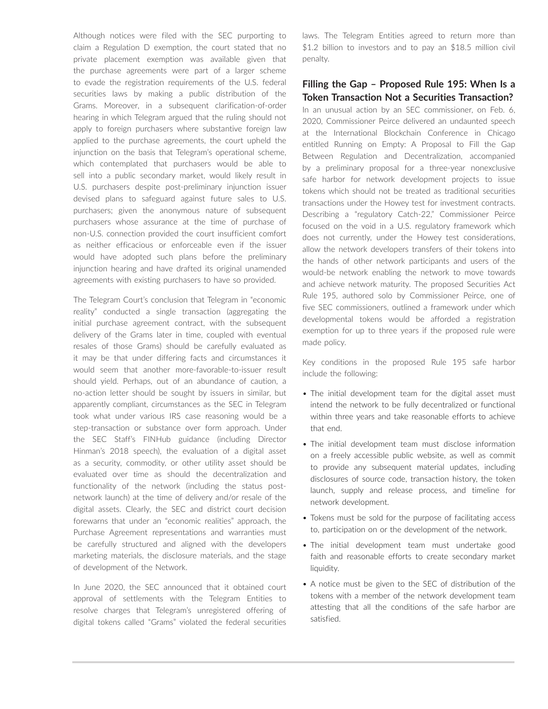Although notices were filed with the SEC purporting to claim a Regulation D exemption, the court stated that no private placement exemption was available given that the purchase agreements were part of a larger scheme to evade the registration requirements of the U.S. federal securities laws by making a public distribution of the Grams. Moreover, in a subsequent clarification-of-order hearing in which Telegram argued that the ruling should not apply to foreign purchasers where substantive foreign law applied to the purchase agreements, the court upheld the injunction on the basis that Telegram's operational scheme, which contemplated that purchasers would be able to sell into a public secondary market, would likely result in U.S. purchasers despite post-preliminary injunction issuer devised plans to safeguard against future sales to U.S. purchasers; given the anonymous nature of subsequent purchasers whose assurance at the time of purchase of non-U.S. connection provided the court insufficient comfort as neither efficacious or enforceable even if the issuer would have adopted such plans before the preliminary injunction hearing and have drafted its original unamended agreements with existing purchasers to have so provided.

The Telegram Court's conclusion that Telegram in "economic reality" conducted a single transaction (aggregating the initial purchase agreement contract, with the subsequent delivery of the Grams later in time, coupled with eventual resales of those Grams) should be carefully evaluated as it may be that under differing facts and circumstances it would seem that another more-favorable-to-issuer result should yield. Perhaps, out of an abundance of caution, a no-action letter should be sought by issuers in similar, but apparently compliant, circumstances as the SEC in Telegram took what under various IRS case reasoning would be a step-transaction or substance over form approach. Under the SEC Staff's FINHub guidance (including Director Hinman's 2018 speech), the evaluation of a digital asset as a security, commodity, or other utility asset should be evaluated over time as should the decentralization and functionality of the network (including the status postnetwork launch) at the time of delivery and/or resale of the digital assets. Clearly, the SEC and district court decision forewarns that under an "economic realities" approach, the Purchase Agreement representations and warranties must be carefully structured and aligned with the developers marketing materials, the disclosure materials, and the stage of development of the Network.

In June 2020, the SEC announced that it obtained court approval of settlements with the Telegram Entities to resolve charges that Telegram's unregistered offering of digital tokens called "Grams" violated the federal securities laws. The Telegram Entities agreed to return more than \$1.2 billion to investors and to pay an \$18.5 million civil penalty.

#### **Filling the Gap – Proposed Rule 195: When Is a Token Transaction Not a Securities Transaction?**

In an unusual action by an SEC commissioner, on Feb. 6, 2020, Commissioner Peirce delivered an undaunted speech at the International Blockchain Conference in Chicago entitled Running on Empty: A Proposal to Fill the Gap Between Regulation and Decentralization, accompanied by a preliminary proposal for a three-year nonexclusive safe harbor for network development projects to issue tokens which should not be treated as traditional securities transactions under the Howey test for investment contracts. Describing a "regulatory Catch-22," Commissioner Peirce focused on the void in a U.S. regulatory framework which does not currently, under the Howey test considerations, allow the network developers transfers of their tokens into the hands of other network participants and users of the would-be network enabling the network to move towards and achieve network maturity. The proposed Securities Act Rule 195, authored solo by Commissioner Peirce, one of five SEC commissioners, outlined a framework under which developmental tokens would be afforded a registration exemption for up to three years if the proposed rule were made policy.

Key conditions in the proposed Rule 195 safe harbor include the following:

- The initial development team for the digital asset must intend the network to be fully decentralized or functional within three years and take reasonable efforts to achieve that end.
- The initial development team must disclose information on a freely accessible public website, as well as commit to provide any subsequent material updates, including disclosures of source code, transaction history, the token launch, supply and release process, and timeline for network development.
- Tokens must be sold for the purpose of facilitating access to, participation on or the development of the network.
- The initial development team must undertake good faith and reasonable efforts to create secondary market liquidity.
- A notice must be given to the SEC of distribution of the tokens with a member of the network development team attesting that all the conditions of the safe harbor are satisfied.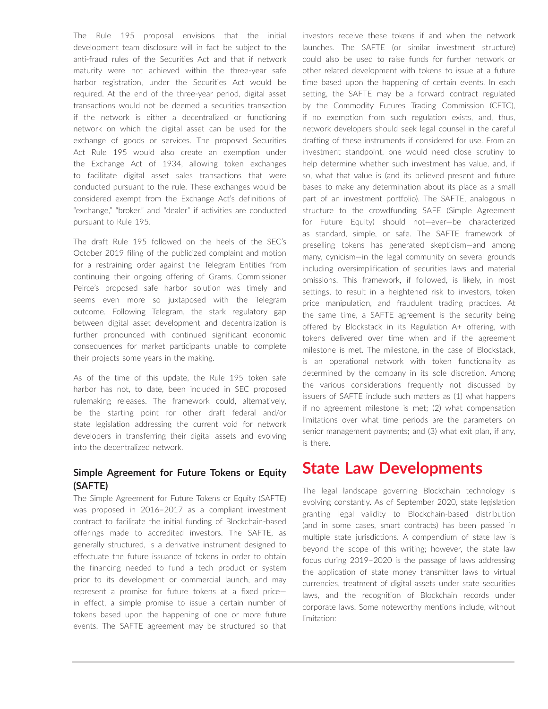The Rule 195 proposal envisions that the initial development team disclosure will in fact be subject to the anti-fraud rules of the Securities Act and that if network maturity were not achieved within the three-year safe harbor registration, under the Securities Act would be required. At the end of the three-year period, digital asset transactions would not be deemed a securities transaction if the network is either a decentralized or functioning network on which the digital asset can be used for the exchange of goods or services. The proposed Securities Act Rule 195 would also create an exemption under the Exchange Act of 1934, allowing token exchanges to facilitate digital asset sales transactions that were conducted pursuant to the rule. These exchanges would be considered exempt from the Exchange Act's definitions of "exchange," "broker," and "dealer" if activities are conducted pursuant to Rule 195.

The draft Rule 195 followed on the heels of the SEC's October 2019 filing of the publicized complaint and motion for a restraining order against the Telegram Entities from continuing their ongoing offering of Grams. Commissioner Peirce's proposed safe harbor solution was timely and seems even more so juxtaposed with the Telegram outcome. Following Telegram, the stark regulatory gap between digital asset development and decentralization is further pronounced with continued significant economic consequences for market participants unable to complete their projects some years in the making.

As of the time of this update, the Rule 195 token safe harbor has not, to date, been included in SEC proposed rulemaking releases. The framework could, alternatively, be the starting point for other draft federal and/or state legislation addressing the current void for network developers in transferring their digital assets and evolving into the decentralized network.

#### **Simple Agreement for Future Tokens or Equity (SAFTE)**

The Simple Agreement for Future Tokens or Equity (SAFTE) was proposed in 2016–2017 as a compliant investment contract to facilitate the initial funding of Blockchain-based offerings made to accredited investors. The SAFTE, as generally structured, is a derivative instrument designed to effectuate the future issuance of tokens in order to obtain the financing needed to fund a tech product or system prior to its development or commercial launch, and may represent a promise for future tokens at a fixed price in effect, a simple promise to issue a certain number of tokens based upon the happening of one or more future events. The SAFTE agreement may be structured so that investors receive these tokens if and when the network launches. The SAFTE (or similar investment structure) could also be used to raise funds for further network or other related development with tokens to issue at a future time based upon the happening of certain events. In each setting, the SAFTE may be a forward contract regulated by the Commodity Futures Trading Commission (CFTC), if no exemption from such regulation exists, and, thus, network developers should seek legal counsel in the careful drafting of these instruments if considered for use. From an investment standpoint, one would need close scrutiny to help determine whether such investment has value, and, if so, what that value is (and its believed present and future bases to make any determination about its place as a small part of an investment portfolio). The SAFTE, analogous in structure to the crowdfunding SAFE (Simple Agreement for Future Equity) should not—ever—be characterized as standard, simple, or safe. The SAFTE framework of preselling tokens has generated skepticism—and among many, cynicism—in the legal community on several grounds including oversimplification of securities laws and material omissions. This framework, if followed, is likely, in most settings, to result in a heightened risk to investors, token price manipulation, and fraudulent trading practices. At the same time, a SAFTE agreement is the security being offered by Blockstack in its Regulation A+ offering, with tokens delivered over time when and if the agreement milestone is met. The milestone, in the case of Blockstack, is an operational network with token functionality as determined by the company in its sole discretion. Among the various considerations frequently not discussed by issuers of SAFTE include such matters as (1) what happens if no agreement milestone is met; (2) what compensation limitations over what time periods are the parameters on senior management payments; and (3) what exit plan, if any, is there.

### **State Law Developments**

The legal landscape governing Blockchain technology is evolving constantly. As of September 2020, state legislation granting legal validity to Blockchain-based distribution (and in some cases, smart contracts) has been passed in multiple state jurisdictions. A compendium of state law is beyond the scope of this writing; however, the state law focus during 2019–2020 is the passage of laws addressing the application of state money transmitter laws to virtual currencies, treatment of digital assets under state securities laws, and the recognition of Blockchain records under corporate laws. Some noteworthy mentions include, without limitation: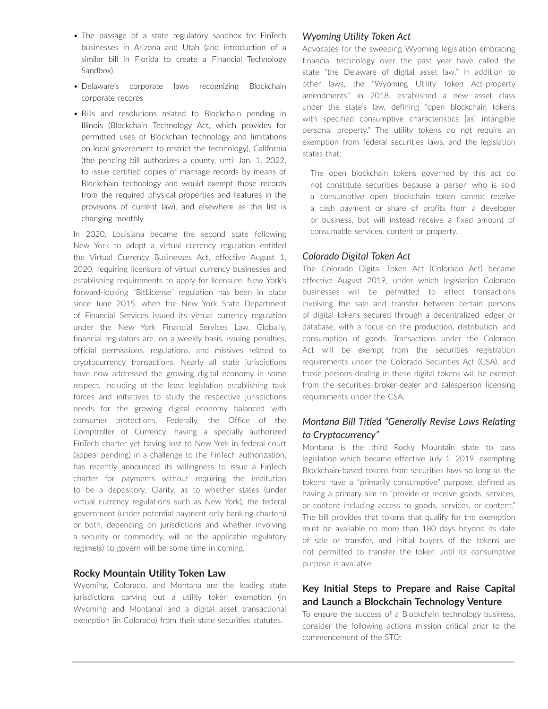- The passage of a state regulatory sandbox for FinTech businesses in Arizona and Utah (and introduction of a similar bill in Florida to create a Financial Technology Sandbox)
- Delaware's corporate laws recognizing Blockchain corporate records
- Bills and resolutions related to Blockchain pending in Illinois (Blockchain Technology Act, which provides for permitted uses of Blockchain technology and limitations on local government to restrict the technology), California (the pending bill authorizes a county, until Jan. 1, 2022, to issue certified copies of marriage records by means of Blockchain technology and would exempt those records from the required physical properties and features in the provisions of current law), and elsewhere as this list is changing monthly

In 2020, Louisiana became the second state following New York to adopt a virtual currency regulation entitled the Virtual Currency Businesses Act, effective August 1, 2020, requiring licensure of virtual currency businesses and establishing requirements to apply for licensure. New York's forward-looking "BitLicense" regulation has been in place since June 2015, when the New York State Department of Financial Services issued its virtual currency regulation under the New York Financial Services Law. Globally, financial regulators are, on a weekly basis, issuing penalties, official permissions, regulations, and missives related to cryptocurrency transactions. Nearly all state jurisdictions have now addressed the growing digital economy in some respect, including at the least legislation establishing task forces and initiatives to study the respective jurisdictions needs for the growing digital economy balanced with consumer protections. Federally, the Office of the Comptroller of Currency, having a specially authorized FinTech charter yet having lost to New York in federal court (appeal pending) in a challenge to the FinTech authorization, has recently announced its willingness to issue a FinTech charter for payments without requiring the institution to be a depository. Clarity, as to whether states (under virtual currency regulations such as New York), the federal government (under potential payment only banking charters) or both, depending on jurisdictions and whether involving a security or commodity, will be the applicable regulatory regime(s) to govern will be some time in coming.

#### **Rocky Mountain Utility Token Law**

Wyoming, Colorado, and Montana are the leading state jurisdictions carving out a utility token exemption (in Wyoming and Montana) and a digital asset transactional exemption (in Colorado) from their state securities statutes.

#### *Wyoming Utility Token Act*

Advocates for the sweeping Wyoming legislation embracing financial technology over the past year have called the state "the Delaware of digital asset law." In addition to other laws, the "Wyoming Utility Token Act-property amendments," in 2018, established a new asset class under the state's law, defining "open blockchain tokens with specified consumptive characteristics [as] intangible personal property." The utility tokens do not require an exemption from federal securities laws, and the legislation states that:

The open blockchain tokens governed by this act do not constitute securities because a person who is sold a consumptive open blockchain token cannot receive a cash payment or share of profits from a developer or business, but will instead receive a fixed amount of consumable services, content or property.

#### *Colorado Digital Token Act*

The Colorado Digital Token Act (Colorado Act) became effective August 2019, under which legislation Colorado businesses will be permitted to effect transactions involving the sale and transfer between certain persons of digital tokens secured through a decentralized ledger or database, with a focus on the production, distribution, and consumption of goods. Transactions under the Colorado Act will be exempt from the securities registration requirements under the Colorado Securities Act (CSA), and those persons dealing in these digital tokens will be exempt from the securities broker-dealer and salesperson licensing requirements under the CSA.

#### *Montana Bill Titled "Generally Revise Laws Relating to Cryptocurrency"*

Montana is the third Rocky Mountain state to pass legislation which became effective July 1, 2019, exempting Blockchain-based tokens from securities laws so long as the tokens have a "primarily consumptive" purpose, defined as having a primary aim to "provide or receive goods, services, or content including access to goods, services, or content." The bill provides that tokens that qualify for the exemption must be available no more than 180 days beyond its date of sale or transfer, and initial buyers of the tokens are not permitted to transfer the token until its consumptive purpose is available.

#### **Key Initial Steps to Prepare and Raise Capital and Launch a Blockchain Technology Venture**

To ensure the success of a Blockchain technology business, consider the following actions mission critical prior to the commencement of the STO: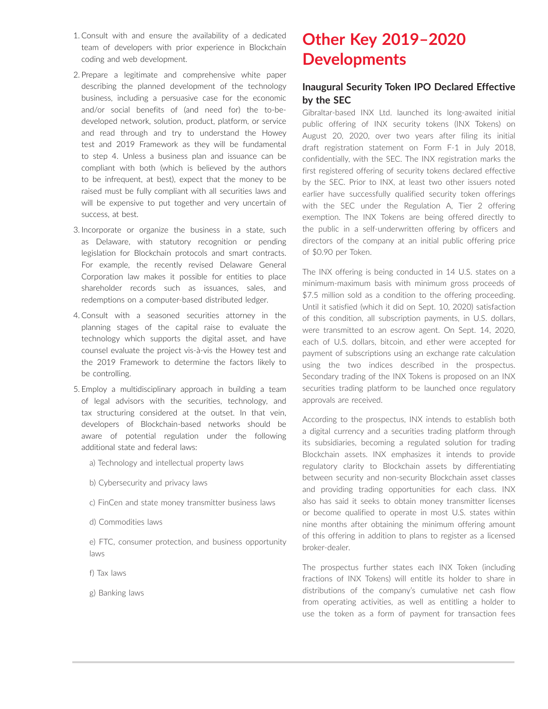- 1. Consult with and ensure the availability of a dedicated team of developers with prior experience in Blockchain coding and web development.
- 2. Prepare a legitimate and comprehensive white paper describing the planned development of the technology business, including a persuasive case for the economic and/or social benefits of (and need for) the to-bedeveloped network, solution, product, platform, or service and read through and try to understand the Howey test and 2019 Framework as they will be fundamental to step 4. Unless a business plan and issuance can be compliant with both (which is believed by the authors to be infrequent, at best), expect that the money to be raised must be fully compliant with all securities laws and will be expensive to put together and very uncertain of success, at best.
- 3. Incorporate or organize the business in a state, such as Delaware, with statutory recognition or pending legislation for Blockchain protocols and smart contracts. For example, the recently revised Delaware General Corporation law makes it possible for entities to place shareholder records such as issuances, sales, and redemptions on a computer-based distributed ledger.
- 4. Consult with a seasoned securities attorney in the planning stages of the capital raise to evaluate the technology which supports the digital asset, and have counsel evaluate the project vis-à-vis the Howey test and the 2019 Framework to determine the factors likely to be controlling.
- 5. Employ a multidisciplinary approach in building a team of legal advisors with the securities, technology, and tax structuring considered at the outset. In that vein, developers of Blockchain-based networks should be aware of potential regulation under the following additional state and federal laws:
	- a) Technology and intellectual property laws
	- b) Cybersecurity and privacy laws
	- c) FinCen and state money transmitter business laws
	- d) Commodities laws

e) FTC, consumer protection, and business opportunity laws

- f) Tax laws
- g) Banking laws

# **Other Key 2019–2020 Developments**

#### **Inaugural Security Token IPO Declared Effective by the SEC**

Gibraltar-based INX Ltd. launched its long-awaited initial public offering of INX security tokens (INX Tokens) on August 20, 2020, over two years after filing its initial draft registration statement on Form F-1 in July 2018, confidentially, with the SEC. The INX registration marks the first registered offering of security tokens declared effective by the SEC. Prior to INX, at least two other issuers noted earlier have successfully qualified security token offerings with the SEC under the Regulation A, Tier 2 offering exemption. The INX Tokens are being offered directly to the public in a self-underwritten offering by officers and directors of the company at an initial public offering price of \$0.90 per Token.

The INX offering is being conducted in 14 U.S. states on a minimum-maximum basis with minimum gross proceeds of \$7.5 million sold as a condition to the offering proceeding. Until it satisfied (which it did on Sept. 10, 2020) satisfaction of this condition, all subscription payments, in U.S. dollars, were transmitted to an escrow agent. On Sept. 14, 2020, each of U.S. dollars, bitcoin, and ether were accepted for payment of subscriptions using an exchange rate calculation using the two indices described in the prospectus. Secondary trading of the INX Tokens is proposed on an INX securities trading platform to be launched once regulatory approvals are received.

According to the prospectus, INX intends to establish both a digital currency and a securities trading platform through its subsidiaries, becoming a regulated solution for trading Blockchain assets. INX emphasizes it intends to provide regulatory clarity to Blockchain assets by differentiating between security and non-security Blockchain asset classes and providing trading opportunities for each class. INX also has said it seeks to obtain money transmitter licenses or become qualified to operate in most U.S. states within nine months after obtaining the minimum offering amount of this offering in addition to plans to register as a licensed broker-dealer.

The prospectus further states each INX Token (including fractions of INX Tokens) will entitle its holder to share in distributions of the company's cumulative net cash flow from operating activities, as well as entitling a holder to use the token as a form of payment for transaction fees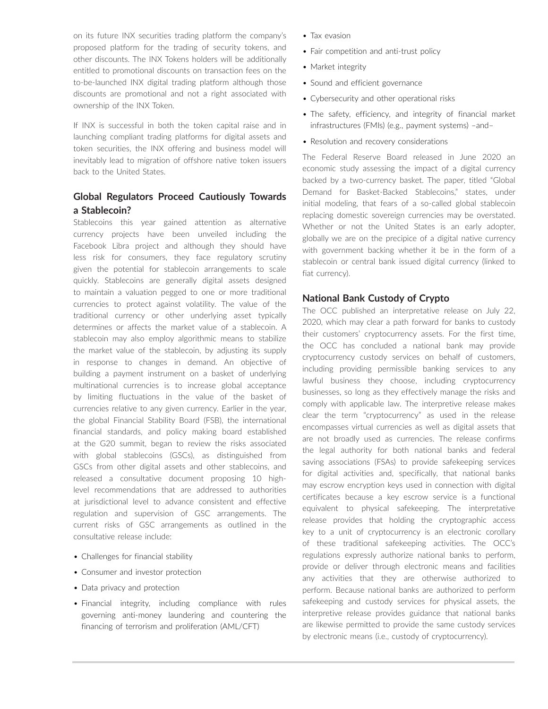on its future INX securities trading platform the company's proposed platform for the trading of security tokens, and other discounts. The INX Tokens holders will be additionally entitled to promotional discounts on transaction fees on the to-be-launched INX digital trading platform although those discounts are promotional and not a right associated with ownership of the INX Token.

If INX is successful in both the token capital raise and in launching compliant trading platforms for digital assets and token securities, the INX offering and business model will inevitably lead to migration of offshore native token issuers back to the United States.

#### **Global Regulators Proceed Cautiously Towards a Stablecoin?**

Stablecoins this year gained attention as alternative currency projects have been unveiled including the Facebook Libra project and although they should have less risk for consumers, they face regulatory scrutiny given the potential for stablecoin arrangements to scale quickly. Stablecoins are generally digital assets designed to maintain a valuation pegged to one or more traditional currencies to protect against volatility. The value of the traditional currency or other underlying asset typically determines or affects the market value of a stablecoin. A stablecoin may also employ algorithmic means to stabilize the market value of the stablecoin, by adjusting its supply in response to changes in demand. An objective of building a payment instrument on a basket of underlying multinational currencies is to increase global acceptance by limiting fluctuations in the value of the basket of currencies relative to any given currency. Earlier in the year, the global Financial Stability Board (FSB), the international financial standards, and policy making board established at the G20 summit, began to review the risks associated with global stablecoins (GSCs), as distinguished from GSCs from other digital assets and other stablecoins, and released a consultative document proposing 10 highlevel recommendations that are addressed to authorities at jurisdictional level to advance consistent and effective regulation and supervision of GSC arrangements. The current risks of GSC arrangements as outlined in the consultative release include:

- Challenges for financial stability
- Consumer and investor protection
- Data privacy and protection
- Financial integrity, including compliance with rules governing anti-money laundering and countering the financing of terrorism and proliferation (AML/CFT)
- Tax evasion
- Fair competition and anti-trust policy
- Market integrity
- Sound and efficient governance
- Cybersecurity and other operational risks
- The safety, efficiency, and integrity of financial market infrastructures (FMIs) (e.g., payment systems) –and–
- Resolution and recovery considerations

The Federal Reserve Board released in June 2020 an economic study assessing the impact of a digital currency backed by a two-currency basket. The paper, titled "Global Demand for Basket-Backed Stablecoins," states, under initial modeling, that fears of a so-called global stablecoin replacing domestic sovereign currencies may be overstated. Whether or not the United States is an early adopter, globally we are on the precipice of a digital native currency with government backing whether it be in the form of a stablecoin or central bank issued digital currency (linked to fiat currency).

#### **National Bank Custody of Crypto**

The OCC published an interpretative release on July 22, 2020, which may clear a path forward for banks to custody their customers' cryptocurrency assets. For the first time, the OCC has concluded a national bank may provide cryptocurrency custody services on behalf of customers, including providing permissible banking services to any lawful business they choose, including cryptocurrency businesses, so long as they effectively manage the risks and comply with applicable law. The interpretive release makes clear the term "cryptocurrency" as used in the release encompasses virtual currencies as well as digital assets that are not broadly used as currencies. The release confirms the legal authority for both national banks and federal saving associations (FSAs) to provide safekeeping services for digital activities and, specifically, that national banks may escrow encryption keys used in connection with digital certificates because a key escrow service is a functional equivalent to physical safekeeping. The interpretative release provides that holding the cryptographic access key to a unit of cryptocurrency is an electronic corollary of these traditional safekeeping activities. The OCC's regulations expressly authorize national banks to perform, provide or deliver through electronic means and facilities any activities that they are otherwise authorized to perform. Because national banks are authorized to perform safekeeping and custody services for physical assets, the interpretive release provides guidance that national banks are likewise permitted to provide the same custody services by electronic means (i.e., custody of cryptocurrency).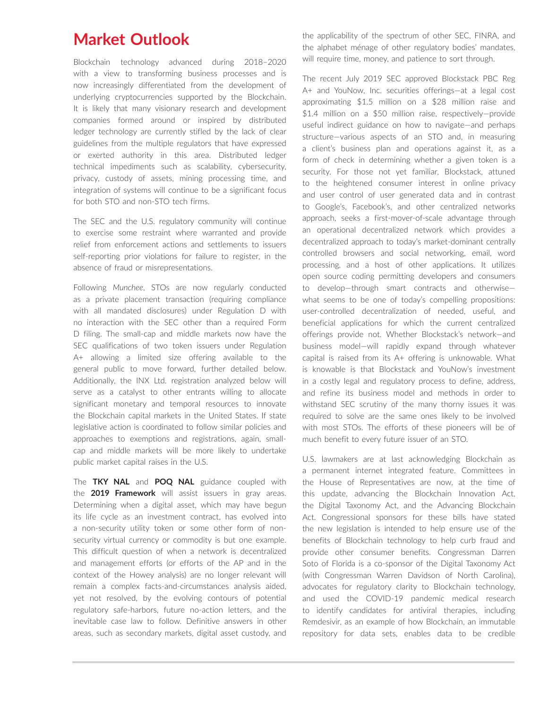### **Market Outlook**

Blockchain technology advanced during 2018–2020 with a view to transforming business processes and is now increasingly differentiated from the development of underlying cryptocurrencies supported by the Blockchain. It is likely that many visionary research and development companies formed around or inspired by distributed ledger technology are currently stifled by the lack of clear guidelines from the multiple regulators that have expressed or exerted authority in this area. Distributed ledger technical impediments such as scalability, cybersecurity, privacy, custody of assets, mining processing time, and integration of systems will continue to be a significant focus for both STO and non-STO tech firms.

The SEC and the U.S. regulatory community will continue to exercise some restraint where warranted and provide relief from enforcement actions and settlements to issuers self-reporting prior violations for failure to register, in the absence of fraud or misrepresentations.

Following *Munchee*, STOs are now regularly conducted as a private placement transaction (requiring compliance with all mandated disclosures) under Regulation D with no interaction with the SEC other than a required Form D filing. The small-cap and middle markets now have the SEC qualifications of two token issuers under Regulation A+ allowing a limited size offering available to the general public to move forward, further detailed below. Additionally, the INX Ltd. registration analyzed below will serve as a catalyst to other entrants willing to allocate significant monetary and temporal resources to innovate the Blockchain capital markets in the United States. If state legislative action is coordinated to follow similar policies and approaches to exemptions and registrations, again, smallcap and middle markets will be more likely to undertake public market capital raises in the U.S.

The **TKY NAL** and **POQ NAL** guidance coupled with the **2019 Framework** will assist issuers in gray areas. Determining when a digital asset, which may have begun its life cycle as an investment contract, has evolved into a non-security utility token or some other form of nonsecurity virtual currency or commodity is but one example. This difficult question of when a network is decentralized and management efforts (or efforts of the AP and in the context of the Howey analysis) are no longer relevant will remain a complex facts-and-circumstances analysis aided, yet not resolved, by the evolving contours of potential regulatory safe-harbors, future no-action letters, and the inevitable case law to follow. Definitive answers in other areas, such as secondary markets, digital asset custody, and

the applicability of the spectrum of other SEC, FINRA, and the alphabet ménage of other regulatory bodies' mandates, will require time, money, and patience to sort through.

The recent July 2019 SEC approved Blockstack PBC Reg A+ and YouNow, Inc. securities offerings—at a legal cost approximating \$1.5 million on a \$28 million raise and \$1.4 million on a \$50 million raise, respectively—provide useful indirect guidance on how to navigate—and perhaps structure—various aspects of an STO and, in measuring a client's business plan and operations against it, as a form of check in determining whether a given token is a security. For those not yet familiar, Blockstack, attuned to the heightened consumer interest in online privacy and user control of user generated data and in contrast to Google's, Facebook's, and other centralized networks approach, seeks a first-mover-of-scale advantage through an operational decentralized network which provides a decentralized approach to today's market-dominant centrally controlled browsers and social networking, email, word processing, and a host of other applications. It utilizes open source coding permitting developers and consumers to develop—through smart contracts and otherwise what seems to be one of today's compelling propositions: user-controlled decentralization of needed, useful, and beneficial applications for which the current centralized offerings provide not. Whether Blockstack's network—and business model—will rapidly expand through whatever capital is raised from its A+ offering is unknowable. What is knowable is that Blockstack and YouNow's investment in a costly legal and regulatory process to define, address, and refine its business model and methods in order to withstand SEC scrutiny of the many thorny issues it was required to solve are the same ones likely to be involved with most STOs. The efforts of these pioneers will be of much benefit to every future issuer of an STO.

U.S. lawmakers are at last acknowledging Blockchain as a permanent internet integrated feature. Committees in the House of Representatives are now, at the time of this update, advancing the Blockchain Innovation Act, the Digital Taxonomy Act, and the Advancing Blockchain Act. Congressional sponsors for these bills have stated the new legislation is intended to help ensure use of the benefits of Blockchain technology to help curb fraud and provide other consumer benefits. Congressman Darren Soto of Florida is a co-sponsor of the Digital Taxonomy Act (with Congressman Warren Davidson of North Carolina), advocates for regulatory clarity to Blockchain technology, and used the COVID-19 pandemic medical research to identify candidates for antiviral therapies, including Remdesivir, as an example of how Blockchain, an immutable repository for data sets, enables data to be credible